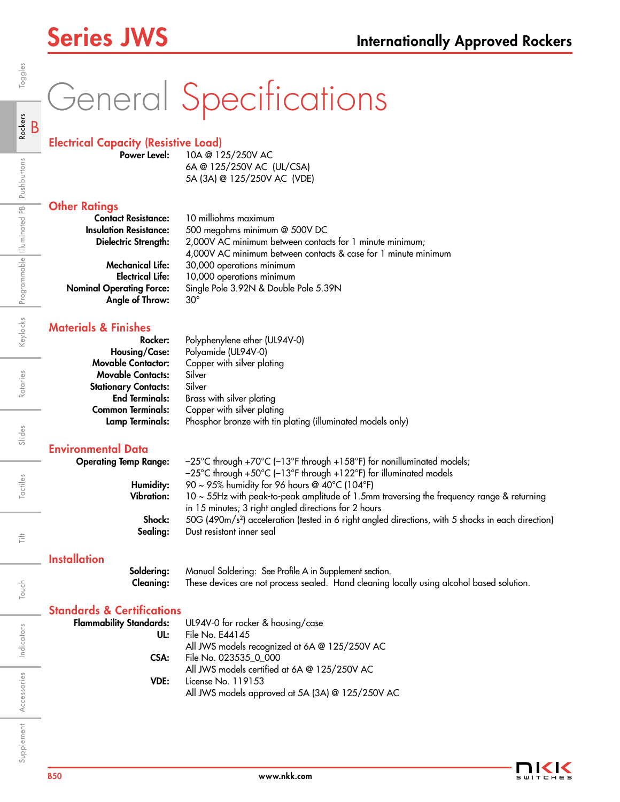# General Specifications

## Electrical Capacity (Resistive Load)

Power Level: 10A @ 125/250V AC 6A @ 125/250V AC (UL/CSA) 5A (3A) @ 125/250V AC (VDE)

## **Other Ratings**

| <b>Contact Resistance:</b>      | 10 milliohms maximum                                           |
|---------------------------------|----------------------------------------------------------------|
| <b>Insulation Resistance:</b>   | 500 megohms minimum @ 500V DC                                  |
| Dielectric Strength:            | 2,000V AC minimum between contacts for 1 minute minimum;       |
|                                 | 4,000V AC minimum between contacts & case for 1 minute minimum |
| <b>Mechanical Life:</b>         | 30,000 operations minimum                                      |
| <b>Electrical Life:</b>         | 10,000 operations minimum                                      |
| <b>Nominal Operating Force:</b> | Single Pole 3.92N & Double Pole 5.39N                          |
| Angle of Throw:                 | $30^{\circ}$                                                   |
|                                 |                                                                |

## Materials & Finishes

| Rocker:                     | Polyphenylene ether (UL94V-0)                              |
|-----------------------------|------------------------------------------------------------|
| <b>Housing/Case:</b>        | Polyamide (UL94V-0)                                        |
| <b>Movable Contactor:</b>   | Copper with silver plating                                 |
| <b>Movable Contacts:</b>    | Silver                                                     |
| <b>Stationary Contacts:</b> | Silver                                                     |
| <b>End Terminals:</b>       | Brass with silver plating                                  |
| <b>Common Terminals:</b>    | Copper with silver plating                                 |
| <b>Lamp Terminals:</b>      | Phosphor bronze with tin plating (illuminated models only) |

## Environmental Data

| $-25^{\circ}$ C through +70 $^{\circ}$ C (-13 $^{\circ}$ F through +158 $^{\circ}$ F) for nonilluminated models; |
|------------------------------------------------------------------------------------------------------------------|
|                                                                                                                  |
|                                                                                                                  |
| $10 \sim 55$ Hz with peak-to-peak amplitude of 1.5mm traversing the frequency range & returning                  |
|                                                                                                                  |
| 50G (490m/s <sup>2</sup> ) acceleration (tested in 6 right angled directions, with 5 shocks in each direction)   |
|                                                                                                                  |
|                                                                                                                  |
|                                                                                                                  |

## **Installation**

Soldering: Manual Soldering: See Profile A in Supplement section. Cleaning: These devices are not process sealed. Hand cleaning locally using alcohol based solution.

### Standards & Certifications Flammab

| <b>Flammability Standards:</b> | UL94V-0 for rocker & housing/case                |
|--------------------------------|--------------------------------------------------|
| UL:                            | File No. E44145                                  |
|                                | All JWS models recognized at 6A @ 125/250V AC    |
| CSA:                           | File No. 023535 0 000                            |
|                                | All JWS models certified at 6A @ 125/250V AC     |
| VDE:                           | License No. 119153                               |
|                                | All JWS models approved at 5A (3A) @ 125/250V AC |



Indicators

Ë

Touch

Accessories

Supplement Accessories Indicators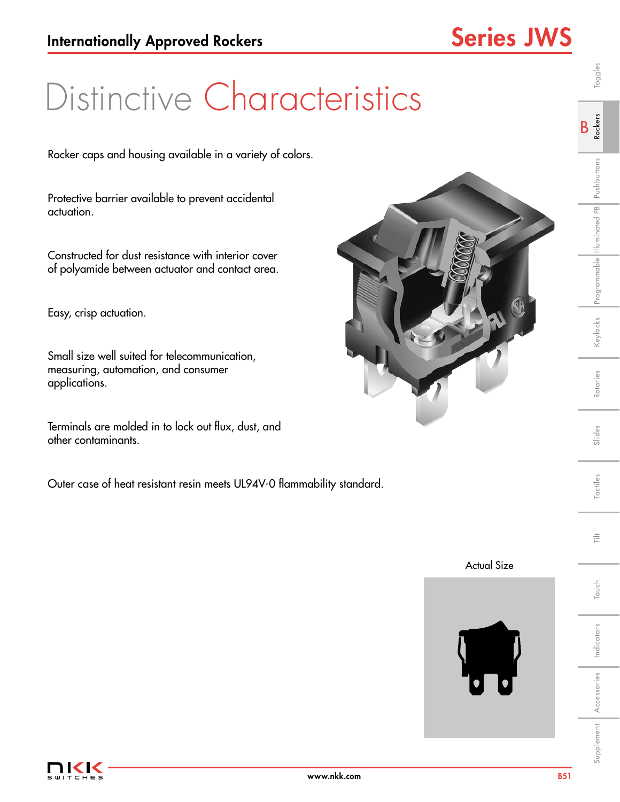## Distinctive Characteristics

Rocker caps and housing available in a variety of colors.

Protective barrier available to prevent accidental actuation.

Constructed for dust resistance with interior cover of polyamide between actuator and contact area.

Easy, crisp actuation.

Small size well suited for telecommunication, measuring, automation, and consumer applications.

Terminals are molded in to lock out flux, dust, and other contaminants.

Outer case of heat resistant resin meets UL94V-0 flammability standard.







Indicators

Touch Tilt

Touch

言

Supplement Accessories Indicators | Touch | Tactiles | Slides | Rotaries | Keylocks Programmable Illuminated Pushbuttons | R**ockers** | Toggles

Slides

Tactiles

Rotaries

B<sub>Rockers</sub>

Keylocks Programmable Illuminated PB Pushbuttons

Toggles

Accessories

Supplement Accessories Indicators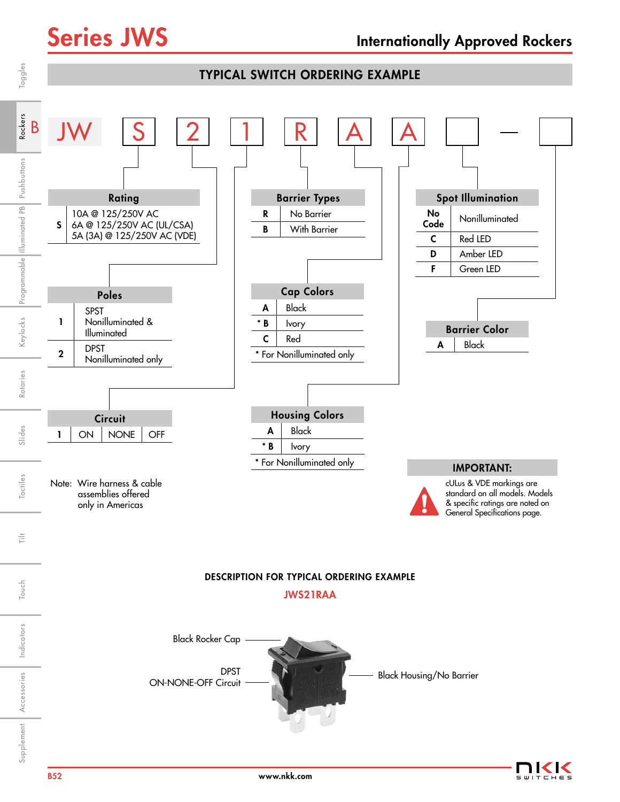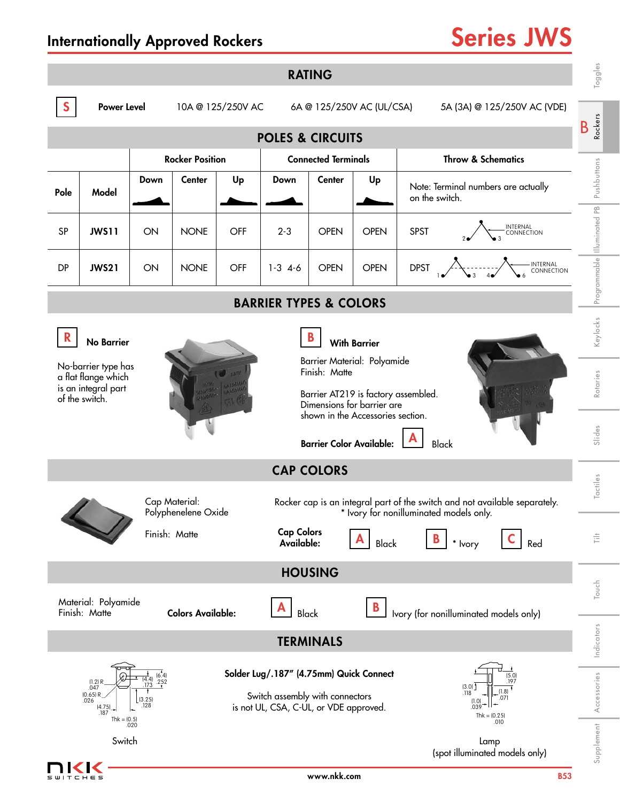-<br>ТСНЕ 5

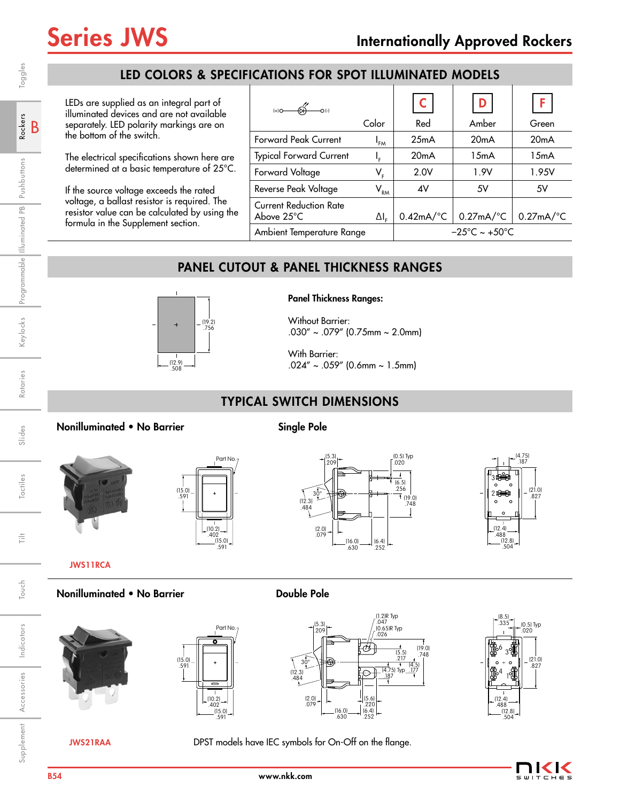## LED COLORS & SPECIFICATIONS FOR SPOT ILLUMINATED MODELS

LEDs are supplied as an integral part of illuminated devices and are not available separately. LED polarity markings are on the bottom of the switch.

The electrical specifications shown here are determined at a basic temperature of 25°C.

If the source voltage exceeds the rated voltage, a ballast resistor is required. The resistor value can be calculated by using the formula in the Supplement section.

| $(+)$ O<br>O <sub>1</sub>                             |                                             | $\mathsf{C}$                       |                         | F                       |
|-------------------------------------------------------|---------------------------------------------|------------------------------------|-------------------------|-------------------------|
|                                                       | Color                                       | Red                                | Amber                   | Green                   |
| <b>Forward Peak Current</b>                           | I <sub>FM</sub>                             | 25mA                               | 20mA                    | 20mA                    |
| <b>Typical Forward Current</b>                        | ı,                                          | 20mA                               | 15mA                    | 15mA                    |
| Forward Voltage                                       | V,                                          | 2.0V                               | 1.9V                    | 1.95V                   |
| Reverse Peak Voltage                                  | $\mathsf{V}_{\mathsf{RM}}^{\phantom{\dag}}$ | 4V                                 | 5V                      | 5V                      |
| <b>Current Reduction Rate</b><br>Above $25^{\circ}$ C | $\Delta I_{\varepsilon}$                    | $0.42mA$ <sup>o</sup> C            | $0.27mA$ <sup>o</sup> C | $0.27mA$ <sup>o</sup> C |
| Ambient Temperature Range                             |                                             | $-25^{\circ}$ C ~ +50 $^{\circ}$ C |                         |                         |

## PANEL CUTOUT & PANEL THICKNESS RANGES



Panel Thickness Ranges:

Without Barrier: .030" ~ .079" (0.75mm ~ 2.0mm)

With Barrier:  $.024'' \sim .059''$  (0.6mm ~ 1.5mm)

## TYPICAL SWITCH DIMENSIONS

## Nonilluminated • No Barrier Single Pole



(15.0) .591 Part No.  $(10.2)$ .402 (15.0)

.591





JWS11RCA

## Nonilluminated • No Barrier **Double Pole**







JWS21RAA DPST models have IEC symbols for On-Off on the flange.

(0.5) Typ .020 (12.4) .488 (12.8) .504 (21.0) .827  $\frac{6}{3}$  $\begin{smallmatrix} 4 & \ & 1 \end{smallmatrix}$ .335

(8.5)

Indicators

Indicators

Supplement Accessories Indicators Touch I Tilt Tactiles I Slides Rotaries I Keylocks Programmable「Illuminated PB Pushbuttons

Tactiles

言

Touch

Slides

Touch | Tilt | Tactiles | Slides | Rotaries | Keylocks |Programmable ||lluminated PB| Pushbuttons | **Rockers** | Toggles

Rotaries

Keylocks Programmable Illuminated PB Pushbuttons

B Rockers

Toggles

Accessories

Supplement Accessories